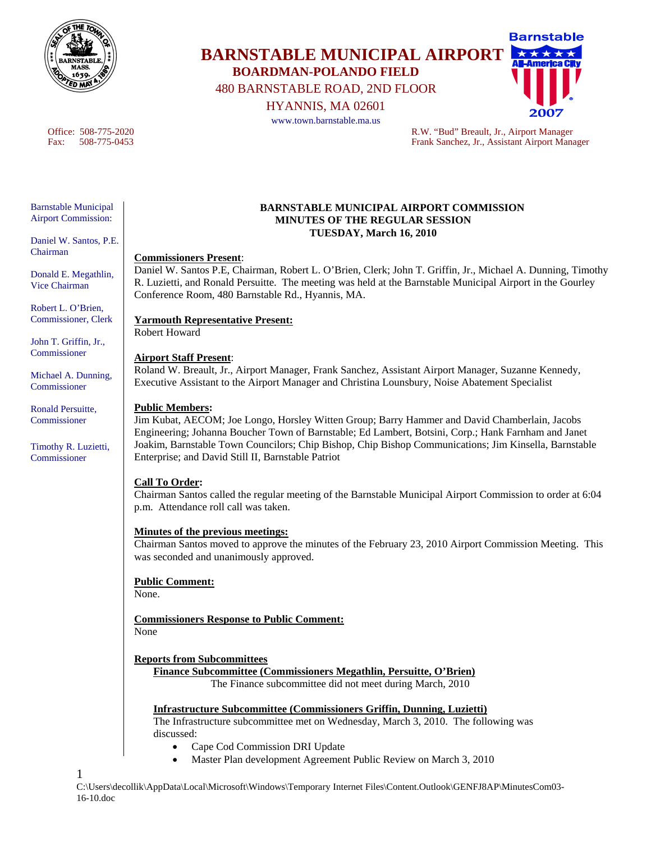

**BARNSTABLE MUNICIPAL AIRPORT BOARDMAN-POLANDO FIELD** 

480 BARNSTABLE ROAD, 2ND FLOOR

HYANNIS, MA 02601

www.town.barnstable.ma.us

Barnstable

Office: 508-775-2020 R.W. "Bud" Breault, Jr., Airport Manager Fax: 508-775-0453 Frank Sanchez, Jr., Assistant Airport Manager

### Barnstable Municipal Airport Commission:

Daniel W. Santos, P.E. Chairman

Donald E. Megathlin, Vice Chairman

Robert L. O'Brien, Commissioner, Clerk

John T. Griffin, Jr., **Commissioner** 

Michael A. Dunning, Commissioner

Ronald Persuitte, Commissioner

Timothy R. Luzietti, Commissioner

1

### **BARNSTABLE MUNICIPAL AIRPORT COMMISSION MINUTES OF THE REGULAR SESSION TUESDAY, March 16, 2010**

### **Commissioners Present**:

Daniel W. Santos P.E, Chairman, Robert L. O'Brien, Clerk; John T. Griffin, Jr., Michael A. Dunning, Timothy R. Luzietti, and Ronald Persuitte. The meeting was held at the Barnstable Municipal Airport in the Gourley Conference Room, 480 Barnstable Rd., Hyannis, MA.

# **Yarmouth Representative Present:**

Robert Howard

# **Airport Staff Present**:

Roland W. Breault, Jr., Airport Manager, Frank Sanchez, Assistant Airport Manager, Suzanne Kennedy, Executive Assistant to the Airport Manager and Christina Lounsbury, Noise Abatement Specialist

# **Public Members:**

Jim Kubat, AECOM; Joe Longo, Horsley Witten Group; Barry Hammer and David Chamberlain, Jacobs Engineering; Johanna Boucher Town of Barnstable; Ed Lambert, Botsini, Corp.; Hank Farnham and Janet Joakim, Barnstable Town Councilors; Chip Bishop, Chip Bishop Communications; Jim Kinsella, Barnstable Enterprise; and David Still II, Barnstable Patriot

# **Call To Order:**

Chairman Santos called the regular meeting of the Barnstable Municipal Airport Commission to order at 6:04 p.m. Attendance roll call was taken.

# **Minutes of the previous meetings:**

Chairman Santos moved to approve the minutes of the February 23, 2010 Airport Commission Meeting. This was seconded and unanimously approved.

# **Public Comment:**

None.

**Commissioners Response to Public Comment:** None

# **Reports from Subcommittees**

**Finance Subcommittee (Commissioners Megathlin, Persuitte, O'Brien)** The Finance subcommittee did not meet during March, 2010

# **Infrastructure Subcommittee (Commissioners Griffin, Dunning, Luzietti)**

The Infrastructure subcommittee met on Wednesday, March 3, 2010. The following was discussed:

- Cape Cod Commission DRI Update
- Master Plan development Agreement Public Review on March 3, 2010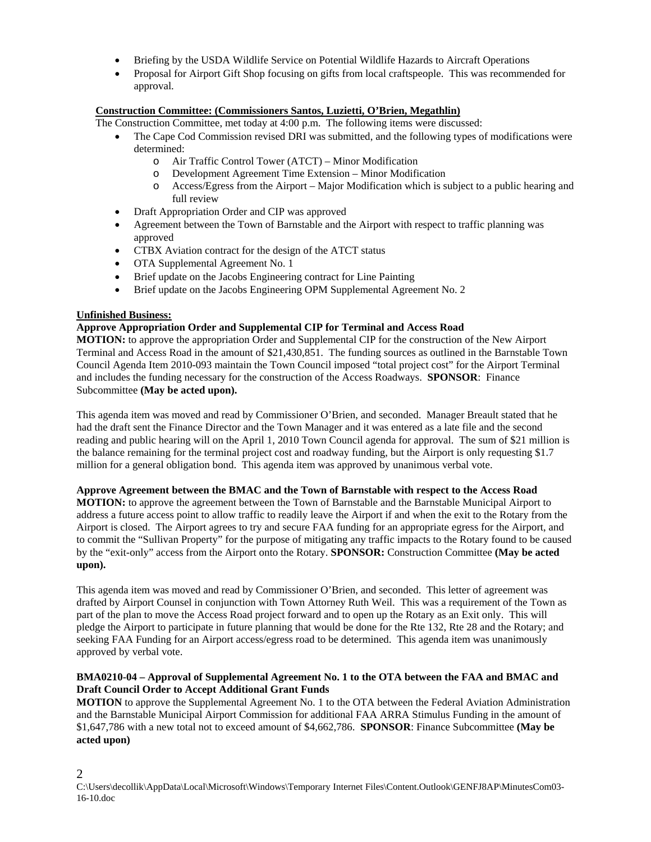- Briefing by the USDA Wildlife Service on Potential Wildlife Hazards to Aircraft Operations
- Proposal for Airport Gift Shop focusing on gifts from local craftspeople. This was recommended for approval.

# **Construction Committee: (Commissioners Santos, Luzietti, O'Brien, Megathlin)**

The Construction Committee, met today at 4:00 p.m. The following items were discussed:

- The Cape Cod Commission revised DRI was submitted, and the following types of modifications were determined:
	- o Air Traffic Control Tower (ATCT) Minor Modification
	- o Development Agreement Time Extension Minor Modification
	- o Access/Egress from the Airport Major Modification which is subject to a public hearing and full review
- Draft Appropriation Order and CIP was approved
- Agreement between the Town of Barnstable and the Airport with respect to traffic planning was approved
- CTBX Aviation contract for the design of the ATCT status
- OTA Supplemental Agreement No. 1
- Brief update on the Jacobs Engineering contract for Line Painting
- Brief update on the Jacobs Engineering OPM Supplemental Agreement No. 2

# **Unfinished Business:**

2

# **Approve Appropriation Order and Supplemental CIP for Terminal and Access Road**

**MOTION:** to approve the appropriation Order and Supplemental CIP for the construction of the New Airport Terminal and Access Road in the amount of \$21,430,851. The funding sources as outlined in the Barnstable Town Council Agenda Item 2010-093 maintain the Town Council imposed "total project cost" for the Airport Terminal and includes the funding necessary for the construction of the Access Roadways. **SPONSOR**: Finance Subcommittee **(May be acted upon).**

This agenda item was moved and read by Commissioner O'Brien, and seconded. Manager Breault stated that he had the draft sent the Finance Director and the Town Manager and it was entered as a late file and the second reading and public hearing will on the April 1, 2010 Town Council agenda for approval. The sum of \$21 million is the balance remaining for the terminal project cost and roadway funding, but the Airport is only requesting \$1.7 million for a general obligation bond. This agenda item was approved by unanimous verbal vote.

#### **Approve Agreement between the BMAC and the Town of Barnstable with respect to the Access Road**

**MOTION:** to approve the agreement between the Town of Barnstable and the Barnstable Municipal Airport to address a future access point to allow traffic to readily leave the Airport if and when the exit to the Rotary from the Airport is closed. The Airport agrees to try and secure FAA funding for an appropriate egress for the Airport, and to commit the "Sullivan Property" for the purpose of mitigating any traffic impacts to the Rotary found to be caused by the "exit-only" access from the Airport onto the Rotary. **SPONSOR:** Construction Committee **(May be acted upon).**

This agenda item was moved and read by Commissioner O'Brien, and seconded. This letter of agreement was drafted by Airport Counsel in conjunction with Town Attorney Ruth Weil. This was a requirement of the Town as part of the plan to move the Access Road project forward and to open up the Rotary as an Exit only. This will pledge the Airport to participate in future planning that would be done for the Rte 132, Rte 28 and the Rotary; and seeking FAA Funding for an Airport access/egress road to be determined. This agenda item was unanimously approved by verbal vote.

### **BMA0210-04 – Approval of Supplemental Agreement No. 1 to the OTA between the FAA and BMAC and Draft Council Order to Accept Additional Grant Funds**

**MOTION** to approve the Supplemental Agreement No. 1 to the OTA between the Federal Aviation Administration and the Barnstable Municipal Airport Commission for additional FAA ARRA Stimulus Funding in the amount of \$1,647,786 with a new total not to exceed amount of \$4,662,786. **SPONSOR**: Finance Subcommittee **(May be acted upon)**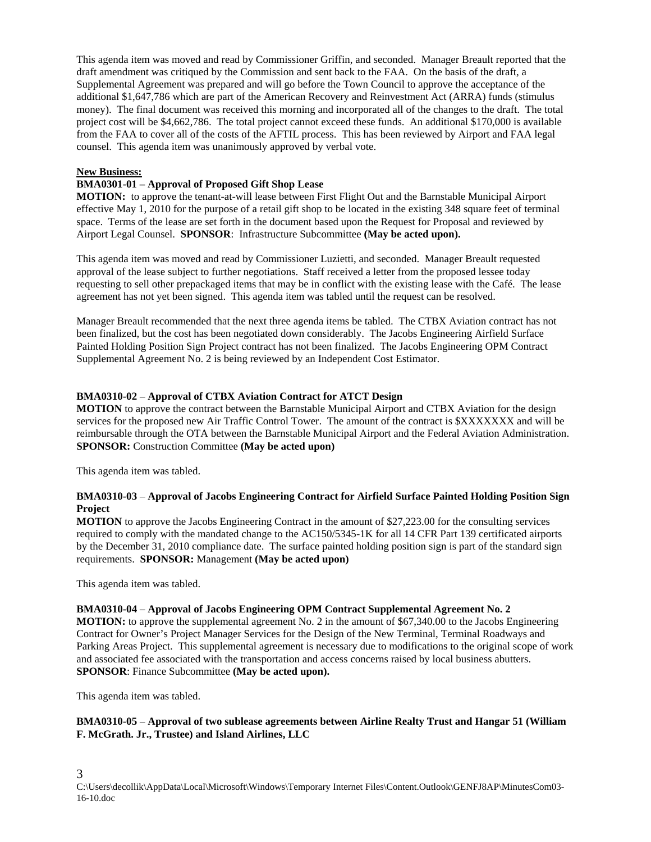This agenda item was moved and read by Commissioner Griffin, and seconded. Manager Breault reported that the draft amendment was critiqued by the Commission and sent back to the FAA. On the basis of the draft, a Supplemental Agreement was prepared and will go before the Town Council to approve the acceptance of the additional \$1,647,786 which are part of the American Recovery and Reinvestment Act (ARRA) funds (stimulus money). The final document was received this morning and incorporated all of the changes to the draft. The total project cost will be \$4,662,786. The total project cannot exceed these funds. An additional \$170,000 is available from the FAA to cover all of the costs of the AFTIL process. This has been reviewed by Airport and FAA legal counsel. This agenda item was unanimously approved by verbal vote.

### **New Business:**

# **BMA0301-01 – Approval of Proposed Gift Shop Lease**

**MOTION:** to approve the tenant-at-will lease between First Flight Out and the Barnstable Municipal Airport effective May 1, 2010 for the purpose of a retail gift shop to be located in the existing 348 square feet of terminal space. Terms of the lease are set forth in the document based upon the Request for Proposal and reviewed by Airport Legal Counsel. **SPONSOR**: Infrastructure Subcommittee **(May be acted upon).** 

This agenda item was moved and read by Commissioner Luzietti, and seconded. Manager Breault requested approval of the lease subject to further negotiations. Staff received a letter from the proposed lessee today requesting to sell other prepackaged items that may be in conflict with the existing lease with the Café. The lease agreement has not yet been signed. This agenda item was tabled until the request can be resolved.

Manager Breault recommended that the next three agenda items be tabled. The CTBX Aviation contract has not been finalized, but the cost has been negotiated down considerably. The Jacobs Engineering Airfield Surface Painted Holding Position Sign Project contract has not been finalized. The Jacobs Engineering OPM Contract Supplemental Agreement No. 2 is being reviewed by an Independent Cost Estimator.

### **BMA0310-02** – **Approval of CTBX Aviation Contract for ATCT Design**

**MOTION** to approve the contract between the Barnstable Municipal Airport and CTBX Aviation for the design services for the proposed new Air Traffic Control Tower. The amount of the contract is \$XXXXXXX and will be reimbursable through the OTA between the Barnstable Municipal Airport and the Federal Aviation Administration. **SPONSOR:** Construction Committee **(May be acted upon)** 

This agenda item was tabled.

# **BMA0310-03** – **Approval of Jacobs Engineering Contract for Airfield Surface Painted Holding Position Sign Project**

**MOTION** to approve the Jacobs Engineering Contract in the amount of \$27,223.00 for the consulting services required to comply with the mandated change to the AC150/5345-1K for all 14 CFR Part 139 certificated airports by the December 31, 2010 compliance date. The surface painted holding position sign is part of the standard sign requirements. **SPONSOR:** Management **(May be acted upon)** 

This agenda item was tabled.

#### **BMA0310-04** – **Approval of Jacobs Engineering OPM Contract Supplemental Agreement No. 2**

**MOTION:** to approve the supplemental agreement No. 2 in the amount of \$67,340.00 to the Jacobs Engineering Contract for Owner's Project Manager Services for the Design of the New Terminal, Terminal Roadways and Parking Areas Project. This supplemental agreement is necessary due to modifications to the original scope of work and associated fee associated with the transportation and access concerns raised by local business abutters. **SPONSOR**: Finance Subcommittee **(May be acted upon).** 

This agenda item was tabled.

# **BMA0310-05** – **Approval of two sublease agreements between Airline Realty Trust and Hangar 51 (William F. McGrath. Jr., Trustee) and Island Airlines, LLC**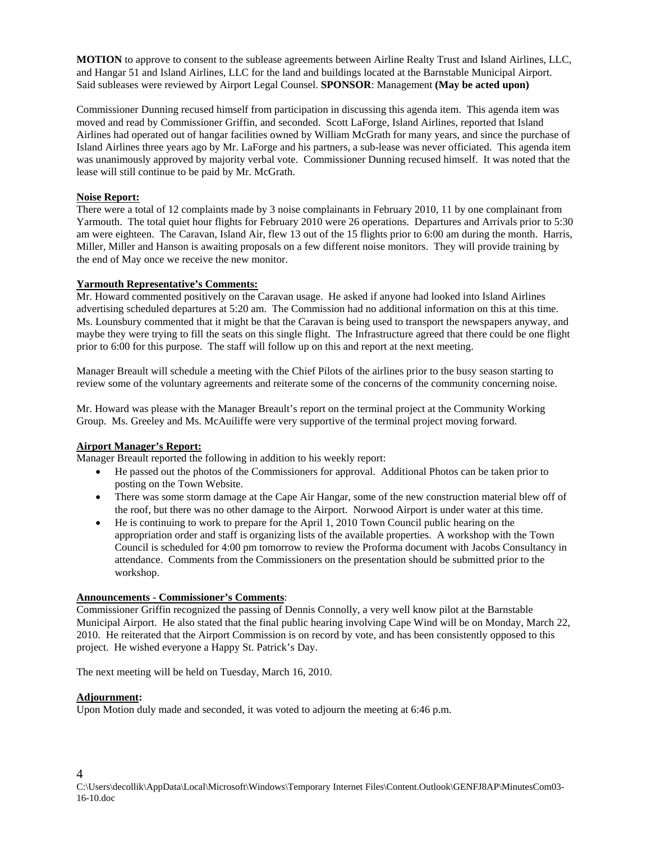**MOTION** to approve to consent to the sublease agreements between Airline Realty Trust and Island Airlines, LLC, and Hangar 51 and Island Airlines, LLC for the land and buildings located at the Barnstable Municipal Airport. Said subleases were reviewed by Airport Legal Counsel. **SPONSOR**: Management **(May be acted upon)** 

Commissioner Dunning recused himself from participation in discussing this agenda item. This agenda item was moved and read by Commissioner Griffin, and seconded. Scott LaForge, Island Airlines, reported that Island Airlines had operated out of hangar facilities owned by William McGrath for many years, and since the purchase of Island Airlines three years ago by Mr. LaForge and his partners, a sub-lease was never officiated. This agenda item was unanimously approved by majority verbal vote. Commissioner Dunning recused himself. It was noted that the lease will still continue to be paid by Mr. McGrath.

# **Noise Report:**

There were a total of 12 complaints made by 3 noise complainants in February 2010, 11 by one complainant from Yarmouth. The total quiet hour flights for February 2010 were 26 operations. Departures and Arrivals prior to 5:30 am were eighteen. The Caravan, Island Air, flew 13 out of the 15 flights prior to 6:00 am during the month. Harris, Miller, Miller and Hanson is awaiting proposals on a few different noise monitors. They will provide training by the end of May once we receive the new monitor.

# **Yarmouth Representative's Comments:**

Mr. Howard commented positively on the Caravan usage. He asked if anyone had looked into Island Airlines advertising scheduled departures at 5:20 am. The Commission had no additional information on this at this time. Ms. Lounsbury commented that it might be that the Caravan is being used to transport the newspapers anyway, and maybe they were trying to fill the seats on this single flight. The Infrastructure agreed that there could be one flight prior to 6:00 for this purpose. The staff will follow up on this and report at the next meeting.

Manager Breault will schedule a meeting with the Chief Pilots of the airlines prior to the busy season starting to review some of the voluntary agreements and reiterate some of the concerns of the community concerning noise.

Mr. Howard was please with the Manager Breault's report on the terminal project at the Community Working Group. Ms. Greeley and Ms. McAuiliffe were very supportive of the terminal project moving forward.

#### **Airport Manager's Report:**

Manager Breault reported the following in addition to his weekly report:

- He passed out the photos of the Commissioners for approval. Additional Photos can be taken prior to posting on the Town Website.
- There was some storm damage at the Cape Air Hangar, some of the new construction material blew off of the roof, but there was no other damage to the Airport. Norwood Airport is under water at this time.
- He is continuing to work to prepare for the April 1, 2010 Town Council public hearing on the appropriation order and staff is organizing lists of the available properties. A workshop with the Town Council is scheduled for 4:00 pm tomorrow to review the Proforma document with Jacobs Consultancy in attendance. Comments from the Commissioners on the presentation should be submitted prior to the workshop.

### **Announcements - Commissioner's Comments**:

Commissioner Griffin recognized the passing of Dennis Connolly, a very well know pilot at the Barnstable Municipal Airport. He also stated that the final public hearing involving Cape Wind will be on Monday, March 22, 2010. He reiterated that the Airport Commission is on record by vote, and has been consistently opposed to this project. He wished everyone a Happy St. Patrick's Day.

The next meeting will be held on Tuesday, March 16, 2010.

#### **Adjournment:**

4

Upon Motion duly made and seconded, it was voted to adjourn the meeting at 6:46 p.m.